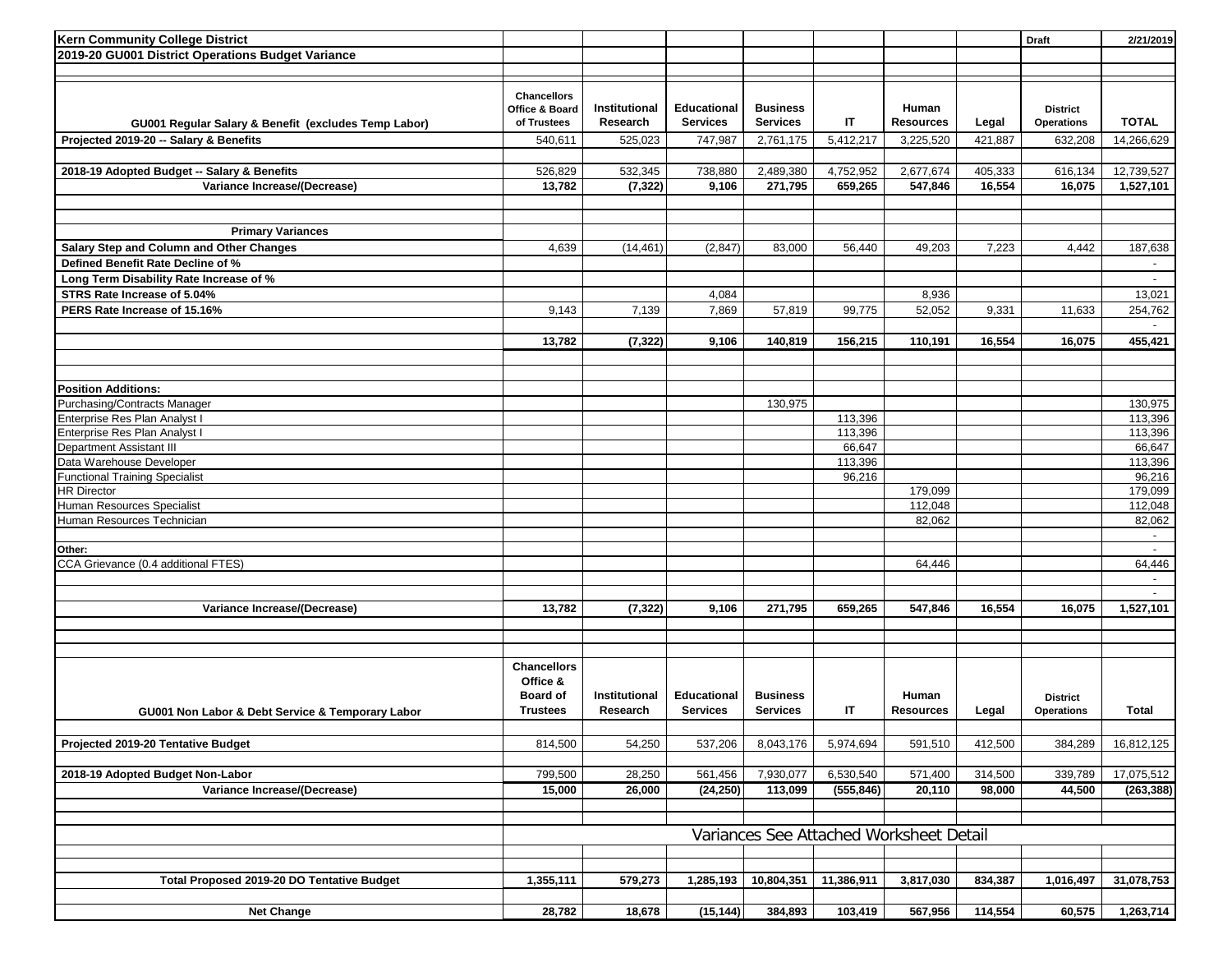| <b>Kern Community College District</b>               |                                                     |                           |                                       |                                    |            |                           |         | <b>Draft</b>                         | 2/21/2019                |
|------------------------------------------------------|-----------------------------------------------------|---------------------------|---------------------------------------|------------------------------------|------------|---------------------------|---------|--------------------------------------|--------------------------|
| 2019-20 GU001 District Operations Budget Variance    |                                                     |                           |                                       |                                    |            |                           |         |                                      |                          |
|                                                      |                                                     |                           |                                       |                                    |            |                           |         |                                      |                          |
| GU001 Regular Salary & Benefit (excludes Temp Labor) | <b>Chancellors</b><br>Office & Board<br>of Trustees | Institutional<br>Research | <b>Educational</b><br><b>Services</b> | <b>Business</b><br><b>Services</b> | IT         | Human<br><b>Resources</b> | Legal   | <b>District</b><br><b>Operations</b> | <b>TOTAL</b>             |
| Projected 2019-20 -- Salary & Benefits               | 540,611                                             | 525,023                   | 747,987                               | 2,761,175                          | 5,412,217  | 3,225,520                 | 421,887 | 632,208                              | 14,266,629               |
|                                                      |                                                     |                           |                                       |                                    |            |                           |         |                                      |                          |
| 2018-19 Adopted Budget -- Salary & Benefits          | 526,829                                             | 532,345                   | 738,880                               | 2,489,380                          | 4,752,952  | 2,677,674                 | 405,333 | 616,134                              | 12,739,527               |
| Variance Increase/(Decrease)                         | 13,782                                              | (7, 322)                  | 9,106                                 | 271,795                            | 659,265    | 547,846                   | 16,554  | 16,075                               | 1,527,101                |
|                                                      |                                                     |                           |                                       |                                    |            |                           |         |                                      |                          |
|                                                      |                                                     |                           |                                       |                                    |            |                           |         |                                      |                          |
| <b>Primary Variances</b>                             |                                                     |                           |                                       |                                    |            |                           |         |                                      |                          |
| Salary Step and Column and Other Changes             | 4,639                                               | (14, 461)                 | (2, 847)                              | 83,000                             | 56,440     | 49,203                    | 7,223   | 4,442                                | 187,638                  |
| Defined Benefit Rate Decline of %                    |                                                     |                           |                                       |                                    |            |                           |         |                                      | $\overline{\phantom{a}}$ |
| Long Term Disability Rate Increase of %              |                                                     |                           |                                       |                                    |            |                           |         |                                      | $\overline{\phantom{a}}$ |
| STRS Rate Increase of 5.04%                          |                                                     |                           | 4,084                                 |                                    |            | 8,936                     |         |                                      | 13,021                   |
| PERS Rate Increase of 15.16%                         | 9,143                                               | 7,139                     | 7,869                                 | 57,819                             | 99,775     | 52,052                    | 9,331   | 11,633                               | 254,762                  |
|                                                      |                                                     |                           |                                       |                                    |            |                           |         |                                      |                          |
|                                                      | 13,782                                              | (7, 322)                  | 9,106                                 | 140,819                            | 156,215    | 110,191                   | 16,554  | 16,075                               | 455,421                  |
|                                                      |                                                     |                           |                                       |                                    |            |                           |         |                                      |                          |
|                                                      |                                                     |                           |                                       |                                    |            |                           |         |                                      |                          |
|                                                      |                                                     |                           |                                       |                                    |            |                           |         |                                      |                          |
| <b>Position Additions:</b>                           |                                                     |                           |                                       |                                    |            |                           |         |                                      |                          |
| Purchasing/Contracts Manager                         |                                                     |                           |                                       | 130,975                            |            |                           |         |                                      | 130,975                  |
| Enterprise Res Plan Analyst I                        |                                                     |                           |                                       |                                    | 113,396    |                           |         |                                      | 113,396                  |
| Enterprise Res Plan Analyst I                        |                                                     |                           |                                       |                                    | 113,396    |                           |         |                                      | 113,396                  |
| Department Assistant III                             |                                                     |                           |                                       |                                    | 66,647     |                           |         |                                      | 66,647                   |
| Data Warehouse Developer                             |                                                     |                           |                                       |                                    | 113,396    |                           |         |                                      | 113,396                  |
| <b>Functional Training Specialist</b>                |                                                     |                           |                                       |                                    | 96,216     |                           |         |                                      | 96,216                   |
| <b>HR Director</b>                                   |                                                     |                           |                                       |                                    |            | 179,099                   |         |                                      | 179,099                  |
| Human Resources Specialist                           |                                                     |                           |                                       |                                    |            | 112,048                   |         |                                      | 112,048                  |
| Human Resources Technician                           |                                                     |                           |                                       |                                    |            | 82,062                    |         |                                      | 82,062                   |
|                                                      |                                                     |                           |                                       |                                    |            |                           |         |                                      | $\sim$                   |
| Other:                                               |                                                     |                           |                                       |                                    |            |                           |         |                                      |                          |
| CCA Grievance (0.4 additional FTES)                  |                                                     |                           |                                       |                                    |            | 64,446                    |         |                                      | 64,446                   |
|                                                      |                                                     |                           |                                       |                                    |            |                           |         |                                      | $\sim$                   |
|                                                      |                                                     |                           |                                       |                                    |            |                           |         |                                      | $\overline{\phantom{a}}$ |
| Variance Increase/(Decrease)                         | 13,782                                              | (7, 322)                  | 9,106                                 | 271,795                            | 659,265    | 547,846                   | 16,554  | 16,075                               | 1,527,101                |
|                                                      |                                                     |                           |                                       |                                    |            |                           |         |                                      |                          |
|                                                      |                                                     |                           |                                       |                                    |            |                           |         |                                      |                          |
|                                                      |                                                     |                           |                                       |                                    |            |                           |         |                                      |                          |
|                                                      | <b>Chancellors</b>                                  |                           |                                       |                                    |            |                           |         |                                      |                          |
|                                                      | Office &                                            |                           |                                       |                                    |            |                           |         |                                      |                          |
|                                                      | <b>Board of</b>                                     | Institutional             | <b>Educational</b>                    | <b>Business</b>                    |            | Human                     |         | <b>District</b>                      |                          |
| GU001 Non Labor & Debt Service & Temporary Labor     | <b>Trustees</b>                                     | Research                  | <b>Services</b>                       | <b>Services</b>                    | IT.        | <b>Resources</b>          | Legal   | Operations                           | Total                    |
|                                                      |                                                     |                           |                                       |                                    |            |                           |         |                                      |                          |
| Projected 2019-20 Tentative Budget                   | 814,500                                             | 54,250                    | 537,206                               | 8,043,176                          | 5,974,694  | 591,510                   | 412,500 | 384,289                              | 16,812,125               |
|                                                      |                                                     |                           |                                       |                                    |            |                           |         |                                      |                          |
| 2018-19 Adopted Budget Non-Labor                     | 799,500                                             | 28,250                    | 561,456                               | 7,930,077                          | 6,530,540  | 571,400                   | 314,500 | 339,789                              | 17,075,512               |
| Variance Increase/(Decrease)                         | 15,000                                              | 26,000                    | (24, 250)                             | 113,099                            | (555, 846) | 20,110                    | 98,000  | 44,500                               | (263, 388)               |
|                                                      |                                                     |                           |                                       |                                    |            |                           |         |                                      |                          |
|                                                      |                                                     |                           |                                       |                                    |            |                           |         |                                      |                          |
|                                                      | Variances See Attached Worksheet Detail             |                           |                                       |                                    |            |                           |         |                                      |                          |
|                                                      |                                                     |                           |                                       |                                    |            |                           |         |                                      |                          |
|                                                      |                                                     |                           |                                       |                                    |            |                           |         |                                      |                          |
| Total Proposed 2019-20 DO Tentative Budget           | 1,355,111                                           | 579,273                   | 1,285,193                             | 10,804,351                         | 11,386,911 | 3,817,030                 | 834,387 | 1,016,497                            | 31,078,753               |
|                                                      |                                                     |                           |                                       |                                    |            |                           |         |                                      |                          |
|                                                      |                                                     |                           |                                       |                                    |            |                           |         |                                      |                          |
| <b>Net Change</b>                                    | 28,782                                              | 18,678                    | (15, 144)                             | 384,893                            | 103,419    | 567,956                   | 114,554 | 60,575                               | 1,263,714                |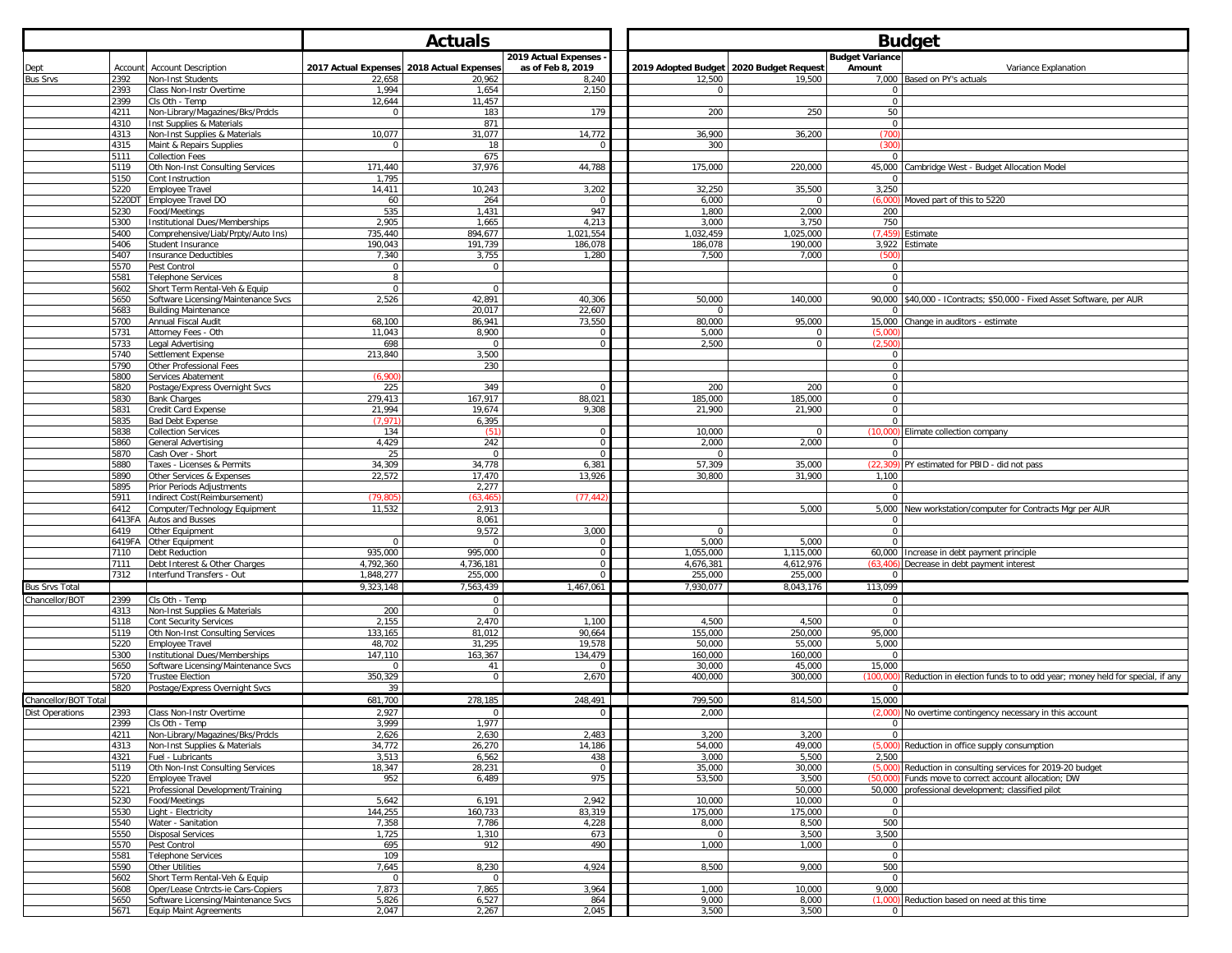|                        |              |                                                                     |                         | <b>Actuals</b>       |                      | <b>Budget</b> |                    |                                         |                             |                                                                            |
|------------------------|--------------|---------------------------------------------------------------------|-------------------------|----------------------|----------------------|---------------|--------------------|-----------------------------------------|-----------------------------|----------------------------------------------------------------------------|
|                        |              |                                                                     |                         |                      | 2019 Actual Expenses |               |                    |                                         | <b>Budget Variance</b>      |                                                                            |
| Dept                   | Account      | <b>Account Description</b>                                          | 2017 Actual Expenses    | 2018 Actual Expenses | as of Feb 8, 2019    |               |                    | 2019 Adopted Budget 2020 Budget Request | Amount                      | Variance Explanation                                                       |
| <b>Bus Srvs</b>        | 2392         | Non-Inst Students                                                   | 22,658                  | 20,962               | 8,240                |               | 12,500             | 19,500                                  | 7,000                       | Based on PY's actuals                                                      |
|                        | 2393         | Class Non-Instr Overtime                                            | 1,994                   | 1,654                | 2,150                |               |                    |                                         |                             |                                                                            |
|                        | 2399         | Cls Oth - Temp                                                      | 12,644<br>$\mathbf{0}$  | 11,457               | 179                  |               | 200                | 250                                     | $\mathbf 0$<br>50           |                                                                            |
|                        | 4211<br>4310 | Non-Library/Magazines/Bks/Prdcls<br>Inst Supplies & Materials       |                         | 183<br>871           |                      |               |                    |                                         | $\mathbf 0$                 |                                                                            |
|                        | 4313         | Non-Inst Supplies & Materials                                       | 10,077                  | 31,077               | 14,772               |               | 36,900             | 36,200                                  | (700)                       |                                                                            |
|                        | 4315         | Maint & Repairs Supplies                                            | $\mathbf 0$             | 18                   | $\Omega$             |               | 300                |                                         | (300)                       |                                                                            |
|                        | 5111         | Collection Fees                                                     |                         | 675                  |                      |               |                    |                                         | $\Omega$                    |                                                                            |
|                        | 5119         | Oth Non-Inst Consulting Services                                    | 171,440                 | 37,976               | 44,788               |               | 175,000            | 220,000                                 | 45,000                      | Cambridge West - Budget Allocation Model                                   |
|                        | 5150         | Cont Instruction                                                    | 1,795                   |                      |                      |               |                    |                                         | $\mathbf{0}$                |                                                                            |
|                        | 5220         | Employee Travel                                                     | 14,411                  | 10,243               | 3,202                |               | 32,250             | 35,500                                  | 3,250                       |                                                                            |
|                        | 5220DT       | <b>Employee Travel DO</b>                                           | 60                      | 264                  |                      |               | 6,000              | $\mathbf 0$                             | (6.000)                     | Moved part of this to 5220                                                 |
|                        | 5230         | ood/Meetings                                                        | 535                     | 1,431                | 947                  |               | 1,800              | 2,000                                   | 200                         |                                                                            |
|                        | 5300<br>5400 | nstitutional Dues/Memberships<br>Comprehensive/Liab/Prpty/Auto Ins) | 2,905<br>735,440        | 1,665<br>894,677     | 4,213<br>1,021,554   |               | 3,000<br>1,032,459 | 3,750<br>1,025,000                      | 750<br>(7.459               | Estimate                                                                   |
|                        | 5406         | Student Insurance                                                   | 190,043                 | 191,739              | 186,078              |               | 186,078            | 190,000                                 | 3,922                       | Estimate                                                                   |
|                        | 5407         | Insurance Deductibles                                               | 7,340                   | 3,755                | 1,280                |               | 7,500              | 7,000                                   | (500)                       |                                                                            |
|                        | 5570         | Pest Control                                                        | $\mathbf 0$             | $\mathbf 0$          |                      |               |                    |                                         | $\mathbf 0$                 |                                                                            |
|                        | 5581         | <b>Telephone Services</b>                                           | 8                       |                      |                      |               |                    |                                         | $\mathbf 0$                 |                                                                            |
|                        | 5602         | Short Term Rental-Veh & Equip                                       | $\mathsf{O}\xspace$     | $\Omega$             |                      |               |                    |                                         | $\Omega$                    |                                                                            |
|                        | 5650         | Software Licensing/Maintenance Svcs                                 | 2,526                   | 42,891               | 40,306               |               | 50,000             | 140,000                                 |                             | 90,000 \$40,000 - IContracts; \$50,000 - Fixed Asset Software, per AUR     |
|                        | 5683         | <b>Building Maintenance</b>                                         |                         | 20.017               | 22.607               |               | $\mathbf{0}$       |                                         | $\mathbf{0}$                |                                                                            |
|                        | 5700         | Annual Fiscal Audit                                                 | 68,100                  | 86,941               | 73,550               |               | 80,000             | 95,000                                  | 15,000                      | Change in auditors - estimate                                              |
|                        | 5731         | Attorney Fees - Oth                                                 | 11,043                  | 8,900                |                      |               | 5,000              | $\mathbf 0$                             | (5.00)                      |                                                                            |
|                        | 5733         | Legal Advertising                                                   | 698                     | $\mathbf{0}$         | $\circ$              |               | 2,500              | $\mathbf 0$                             | (2,500)                     |                                                                            |
|                        | 5740<br>5790 | Settlement Expense                                                  | 213,840                 | 3,500                |                      |               |                    |                                         | $\circ$                     |                                                                            |
|                        | 5800         | Other Professional Fees<br>Services Abatement                       | (6,900)                 | 230                  |                      |               |                    |                                         | $\mathbf 0$<br>$\mathbf{0}$ |                                                                            |
|                        | 5820         | Postage/Express Overnight Svcs                                      | 225                     | 349                  |                      |               | 200                | 200                                     | $\mathbf{0}$                |                                                                            |
|                        | 5830         | <b>Bank Charges</b>                                                 | 279,413                 | 167,917              | 88,021               |               | 185,000            | 185,000                                 | $\mathbf 0$                 |                                                                            |
|                        | 5831         | Credit Card Expense                                                 | 21,994                  | 19,674               | 9,308                |               | 21,900             | 21,900                                  | $\mathbf 0$                 |                                                                            |
|                        | 5835         | <b>Bad Debt Expense</b>                                             | (7.971                  | 6,395                |                      |               |                    |                                         | $\Omega$                    |                                                                            |
|                        | 5838         | <b>Collection Services</b>                                          | 134                     | (51)                 | $\mathbf{0}$         |               | 10,000             | $\mathbf 0$                             | (10,000)                    | Elimate collection company                                                 |
|                        | 5860         | General Advertising                                                 | 4,429                   | 242                  | $\mathbf{0}$         |               | 2,000              | 2,000                                   | $\mathbf 0$                 |                                                                            |
|                        | 5870         | Cash Over - Short                                                   | 25                      | $\mathbf 0$          | $\Omega$             |               |                    |                                         | $\Omega$                    |                                                                            |
|                        | 5880         | Taxes - Licenses & Permits                                          | 34,309                  | 34.778               | 6,381                |               | 57,309             | 35,000                                  | (22, 309)                   | PY estimated for PBID - did not pass                                       |
|                        | 5890         | Other Services & Expenses                                           | 22,572                  | 17,470               | 13,926               |               | 30,800             | 31,900                                  | 1,100                       |                                                                            |
|                        | 5895         | Prior Periods Adjustments                                           |                         | 2,277                |                      |               |                    |                                         | $\Omega$                    |                                                                            |
|                        | 5911<br>6412 | Indirect Cost(Reimbursement)                                        | (79, 80)<br>11,532      | (63.46)              | (77, 44)             |               |                    |                                         | $\mathbf{0}$<br>5.000       |                                                                            |
|                        | 6413FA       | Computer/Technology Equipment<br>Autos and Busses                   |                         | 2,913<br>8,061       |                      |               |                    | 5,000                                   | $\mathbf 0$                 | New workstation/computer for Contracts Mgr per AUR                         |
|                        | 6419         | Other Equipment                                                     |                         | 9,572                | 3,000                |               |                    |                                         | $\mathbf{0}$                |                                                                            |
|                        | 6419FA       | Other Equipment                                                     | $\mathbf{0}$            | $\mathbf{0}$         | $^{\circ}$           |               | 5,000              | 5,000                                   | $\mathbf{0}$                |                                                                            |
|                        | 7110         | Debt Reduction                                                      | 935,000                 | 995,000              | $\mathbf 0$          |               | 1,055,000          | 1,115,000                               |                             | 60,000 Increase in debt payment principle                                  |
|                        | 7111         | Debt Interest & Other Charges                                       | 4,792,360               | 4,736,181            | $\Omega$             |               | 4,676,381          | 4,612,976                               | (63.406                     | Decrease in debt payment interest                                          |
|                        | 7312         | Interfund Transfers - Out                                           | 1,848,277               | 255,000              |                      |               | 255,000            | 255,000                                 |                             |                                                                            |
| <b>Bus Srvs Total</b>  |              |                                                                     | 9,323,148               | 7,563,439            | 1,467,061            |               | 7,930,077          | 8,043,176                               | 113,099                     |                                                                            |
| Chancellor/BOT         | 2399         | Cls Oth - Temp                                                      |                         | $\mathbf{0}$         |                      |               |                    |                                         | $\mathbf{0}$                |                                                                            |
|                        | 4313         | Non-Inst Supplies & Materials                                       | 200                     | $\mathbf 0$          |                      |               |                    |                                         | $\mathbf{0}$                |                                                                            |
|                        | 5118         | Cont Security Services                                              | 2,155                   | 2,470                | 1,100                |               | 4,500              | 4,500                                   | $\mathbf{0}$                |                                                                            |
|                        | 5119         | Oth Non-Inst Consulting Services                                    | 133,165                 | 81,012               | 90,664               |               | 155,000            | 250,000                                 | 95,000                      |                                                                            |
|                        | 5220         | Employee Travel                                                     | 48,702                  | 31,295               | 19,578               |               | 50,000             | 55,000                                  | 5,000                       |                                                                            |
|                        | 5300         | Institutional Dues/Memberships                                      | 147,110                 | 163,367              | 134,479              |               | 160,000            | 160,000                                 | $\Omega$                    |                                                                            |
|                        | 5650         | Software Licensing/Maintenance Svcs                                 | $\mathbf{0}$<br>350,329 | 41                   |                      |               | 30,000<br>400,000  | 45,000                                  | 15,000<br>(100.0)           |                                                                            |
|                        | 5720<br>5820 | <b>Trustee Election</b><br>Postage/Express Overnight Svcs           | 39                      | $\mathbf 0$          | 2,670                |               |                    | 300,000                                 | $\Omega$                    | Reduction in election funds to to odd year; money held for special, if any |
| Chancellor/BOT Total   |              |                                                                     | 681,700                 | 278,185              | 248,491              |               | 799,500            | 814,500                                 | 15,000                      |                                                                            |
|                        | 2393         |                                                                     | 2,927                   | $\mathbf{0}$         | $\Omega$             |               | 2,000              |                                         |                             | No overtime contingency necessary in this account                          |
| <b>Dist Operations</b> | 2399         | Class Non-Instr Overtime<br>Cls Oth - Temp                          | 3.999                   | 1.977                |                      |               |                    |                                         | (2,000)                     |                                                                            |
|                        | 4211         | Non-Library/Magazines/Bks/Prdcls                                    | 2,626                   | 2,630                | 2,483                |               | 3,200              | 3,200                                   | $\mathbf{0}$                |                                                                            |
|                        | 4313         | Non-Inst Supplies & Materials                                       | 34,772                  | 26,270               | 14,186               |               | 54,000             | 49,000                                  | (5.000)                     | Reduction in office supply consumption                                     |
|                        | 4321         | Fuel - Lubricants                                                   | 3,513                   | 6,562                | 438                  |               | 3,000              | 5,500                                   | 2.500                       |                                                                            |
|                        | 5119         | Oth Non-Inst Consulting Services                                    | 18,347                  | 28,231               | $\mathbf 0$          |               | 35,000             | 30,000                                  | (5,000)                     | Reduction in consulting services for 2019-20 budget                        |
|                        | 5220         | Employee Travel                                                     | 952                     | 6,489                | 975                  |               | 53,500             | 3,500                                   | (50.000                     | Funds move to correct account allocation; DW                               |
|                        | 5221         | Professional Development/Training                                   |                         |                      |                      |               |                    | 50,000                                  | 50,000                      | professional development; classified pilot                                 |
|                        | 5230         | Food/Meetings                                                       | 5,642                   | 6,191                | 2,942                |               | 10,000             | 10,000                                  | $\circ$                     |                                                                            |
|                        | 5530         | Light - Electricity                                                 | 144,255                 | 160,733              | 83,319               |               | 175,000            | 175,000                                 | $\mathbf 0$                 |                                                                            |
|                        | 5540         | Water - Sanitation                                                  | 7,358                   | 7,786                | 4,228                |               | 8,000              | 8,500                                   | 500                         |                                                                            |
|                        | 5550         | Disposal Services                                                   | 1,725                   | 1,310                | 673                  |               | $\mathbf{0}$       | 3,500                                   | 3,500                       |                                                                            |
|                        | 5570         | Pest Control                                                        | 695                     | 912                  | 490                  |               | 1,000              | 1,000                                   | $\mathbf{0}$                |                                                                            |
|                        | 5581<br>5590 | <b>Telephone Services</b><br>Other Utilities                        | 109<br>7,645            | 8,230                | 4,924                |               | 8,500              | 9,000                                   | $\mathbf 0$<br>500          |                                                                            |
|                        | 5602         | Short Term Rental-Veh & Equip                                       | $\mathbf{0}$            | $\mathbf{0}$         |                      |               |                    |                                         | $\mathbf{0}$                |                                                                            |
|                        | 5608         | Oper/Lease Cntrcts-ie Cars-Copiers                                  | 7,873                   | 7,865                | 3,964                |               | 1,000              | 10,000                                  | 9,000                       |                                                                            |
|                        | 5650         | Software Licensing/Maintenance Svcs                                 | 5,826                   | 6,527                | 864                  |               | 9,000              | 8,000                                   | (1,000)                     | Reduction based on need at this time                                       |
|                        | 5671         | Equip Maint Agreements                                              | 2,047                   | 2,267                | 2,045                |               | 3,500              | 3,500                                   | $\mathbf{0}$                |                                                                            |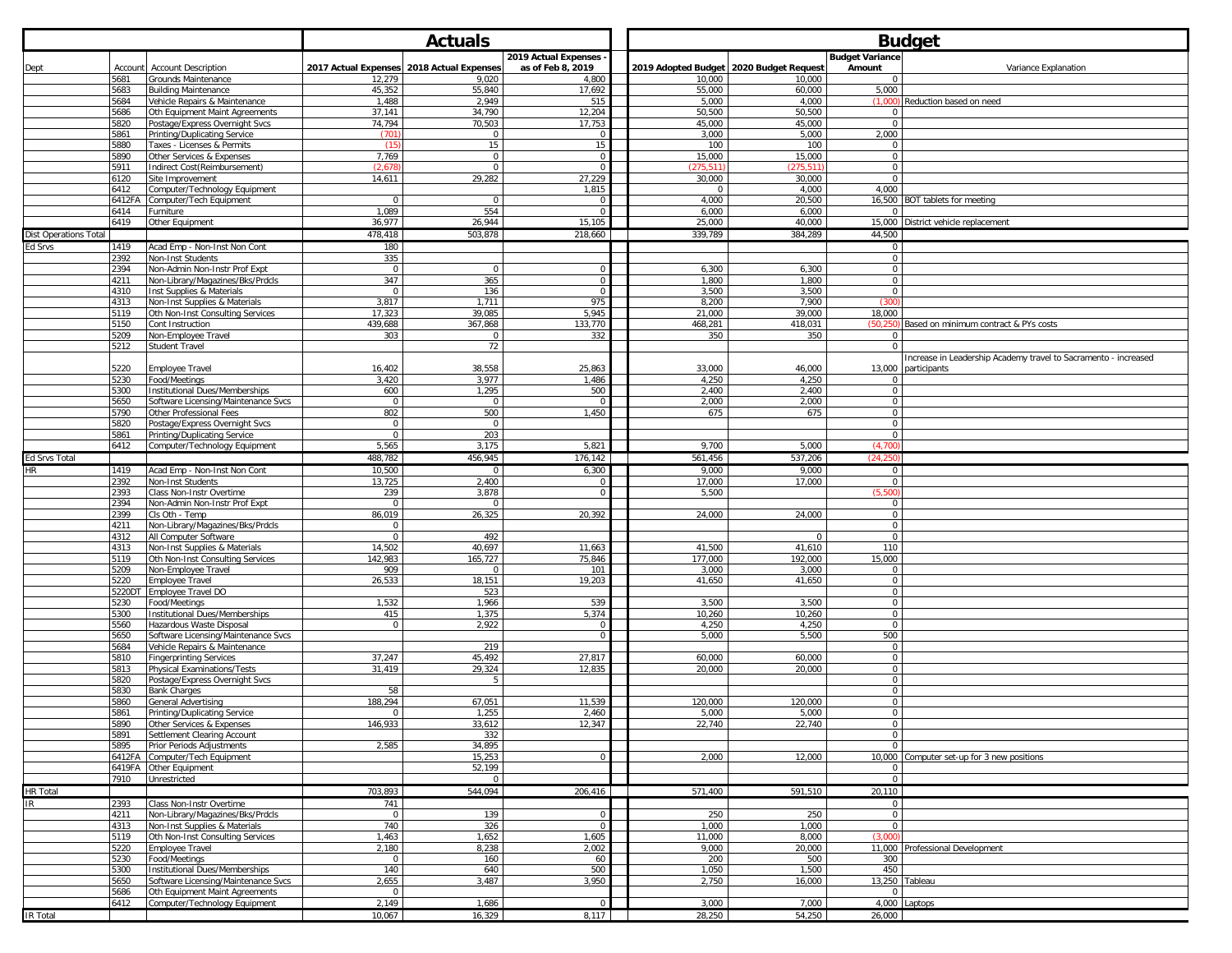|                              |                 |                                                                 |                       | <b>Actuals</b>                                     |                      | <b>Budget</b> |                     |                                                     |                             |                                                                |
|------------------------------|-----------------|-----------------------------------------------------------------|-----------------------|----------------------------------------------------|----------------------|---------------|---------------------|-----------------------------------------------------|-----------------------------|----------------------------------------------------------------|
|                              |                 |                                                                 |                       |                                                    | 2019 Actual Expenses |               |                     |                                                     | <b>Budget Variance</b>      |                                                                |
| Dept                         | Account<br>5681 | <b>Account Description</b><br>Grounds Maintenance               |                       | 2017 Actual Expenses 2018 Actual Expenses<br>9,020 | as of Feb 8, 2019    |               | 10,000              | 2019 Adopted Budget   2020 Budget Request<br>10,000 | Amount<br>$\mathbf{0}$      | Variance Explanation                                           |
|                              | 5683            | <b>Building Maintenance</b>                                     | 12,279<br>45,352      | 55,840                                             | 4,800<br>17,692      |               | 55,000              | 60,000                                              | 5,000                       |                                                                |
|                              | 5684            | Vehicle Repairs & Maintenance                                   | 1,488                 | 2,949                                              | 515                  |               | 5,000               | 4,000                                               | (1.000)                     | Reduction based on need                                        |
|                              | 5686            | Oth Equipment Maint Agreements                                  | 37,141                | 34,790                                             | 12,204               |               | 50,500              | 50,500                                              | $\mathbf{0}$                |                                                                |
|                              | 5820            | Postage/Express Overnight Svcs                                  | 74.794                | 70,503                                             | 17,753               |               | 45.000              | 45.000                                              | $\mathbf 0$                 |                                                                |
|                              | 5861<br>5880    | Printing/Duplicating Service<br>Taxes - Licenses & Permits      | (701<br>(15)          | $\mathbf 0$<br>15                                  | 15                   |               | 3,000<br>100        | 5,000<br>100                                        | 2,000<br>$\mathsf 0$        |                                                                |
|                              | 5890            | Other Services & Expenses                                       | 7,769                 | $\mathbf 0$                                        | $\Omega$             |               | 15,000              | 15,000                                              | $\mathbf 0$                 |                                                                |
|                              | 5911            | Indirect Cost(Reimbursement)                                    | (2,67                 | $\mathbf 0$                                        |                      |               | 275.51              | (275, 51)                                           | $\mathsf 0$                 |                                                                |
|                              | 6120            | Site Improvement                                                | 14,611                | 29,282                                             | 27,229               |               | 30,000              | 30,000                                              | $\mathsf 0$                 |                                                                |
|                              | 6412<br>6412FA  | Computer/Technology Equipment<br>Computer/Tech Equipment        | $\mathbf{0}$          | $\mathbf{0}$                                       | 1,815<br>$\Omega$    |               | $^{\circ}$<br>4,000 | 4,000<br>20,500                                     | 4,000                       | 16,500 BOT tablets for meeting                                 |
|                              | 6414            | Furniture                                                       | 1,089                 | 554                                                |                      |               | 6,000               | 6,000                                               | $\Omega$                    |                                                                |
|                              | 6419            | Other Equipment                                                 | 36,977                | 26,944                                             | 15,105               |               | 25,000              | 40,000                                              | 15,000                      | District vehicle replacement                                   |
| <b>Dist Operations Total</b> |                 |                                                                 | 478,418               | 503,878                                            | 218,660              |               | 339,789             | 384,289                                             | 44,500                      |                                                                |
| Ed Srvs                      | 1419            | Acad Emp - Non-Inst Non Cont                                    | 180                   |                                                    |                      |               |                     |                                                     | $\mathbf 0$                 |                                                                |
|                              | 2392<br>2394    | Non-Inst Students<br>Non-Admin Non-Instr Prof Expt              | 335<br>$\mathsf 0$    | $\mathbf 0$                                        | $\cap$               |               | 6,300               | 6,300                                               | $\mathbf 0$<br>$\mathsf 0$  |                                                                |
|                              | 4211            | Non-Library/Magazines/Bks/Prdcls                                | 347                   | 365                                                | $\Omega$             |               | 1,800               | 1,800                                               | $\mathbf 0$                 |                                                                |
|                              | 4310            | Inst Supplies & Materials                                       | $\mathbf 0$           | 136                                                |                      |               | 3.500               | 3.500                                               | $\mathbf 0$                 |                                                                |
|                              | 4313            | Non-Inst Supplies & Materials                                   | 3,817                 | 1,711                                              | 975                  |               | 8,200               | 7,900                                               | (300)                       |                                                                |
|                              | 5119            | Oth Non-Inst Consulting Services                                | 17,323                | 39,085                                             | 5,945                |               | 21,000              | 39,000                                              | 18,000                      |                                                                |
|                              | 5150<br>5209    | Cont Instruction<br>Non-Employee Travel                         | 439,688<br>303        | 367,868<br>$\mathbf 0$                             | 133,770<br>332       |               | 468,281<br>350      | 418,031<br>350                                      | (50, 250)<br>$\mathbf 0$    | Based on minimum contract & PYs costs                          |
|                              | 5212            | Student Travel                                                  |                       | 72                                                 |                      |               |                     |                                                     | $\mathbf 0$                 |                                                                |
|                              |                 |                                                                 |                       |                                                    |                      |               |                     |                                                     |                             | ncrease in Leadership Academy travel to Sacramento - increased |
|                              | 5220            | <b>Employee Travel</b>                                          | 16,402                | 38,558                                             | 25,863               |               | 33,000              | 46,000                                              | 13,000                      | participants                                                   |
|                              | 5230<br>5300    | Food/Meetings<br><b>Institutional Dues/Memberships</b>          | 3,420<br>600          | 3,977<br>1,295                                     | 1,486<br>500         |               | 4,250<br>2,400      | 4,250<br>2,400                                      | $\mathbf 0$<br>$\mathsf 0$  |                                                                |
|                              | 5650            | Software Licensing/Maintenance Svcs                             | $\mathbf{0}$          | $\mathbf{0}$                                       |                      |               | 2,000               | 2,000                                               | $\mathbf{0}$                |                                                                |
|                              | 5790            | Other Professional Fees                                         | 802                   | 500                                                | 1,450                |               | 675                 | 675                                                 | $\mathbf 0$                 |                                                                |
|                              | 5820            | Postage/Express Overnight Svcs                                  | $\mathsf 0$           | $\mathbf 0$                                        |                      |               |                     |                                                     | $\mathsf 0$                 |                                                                |
|                              | 5861<br>6412    | Printing/Duplicating Service                                    | $\mathbf 0$<br>5,565  | 203<br>3,175                                       | 5,821                |               | 9,700               | 5,000                                               | $\mathbf 0$<br>(4,700)      |                                                                |
| Ed Srvs Total                |                 | Computer/Technology Equipment                                   | 488,782               | 456,945                                            | 176,142              |               | 561,456             | 537,206                                             | (24.250)                    |                                                                |
| HR                           | 1419            | Acad Emp - Non-Inst Non Cont                                    | 10,500                | $\mathbf 0$                                        | 6,300                |               | 9,000               | 9,000                                               | $\mathbf{0}$                |                                                                |
|                              | 2392            | Non-Inst Students                                               | 13,725                | 2,400                                              |                      |               | 17,000              | 17,000                                              | $\mathsf 0$                 |                                                                |
|                              | 2393            | Class Non-Instr Overtime                                        | 239                   | 3,878                                              |                      |               | 5,500               |                                                     | (5.500)                     |                                                                |
|                              | 2394<br>2399    | Non-Admin Non-Instr Prof Expt                                   | $\mathsf 0$           | $\overline{0}$                                     |                      |               |                     |                                                     | $\mathbf{0}$                |                                                                |
|                              | 4211            | Cls Oth - Temp<br>Non-Library/Magazines/Bks/Prdcls              | 86,019<br>$\mathbf 0$ | 26,325                                             | 20,392               |               | 24,000              | 24,000                                              | $\mathsf 0$<br>$\mathsf 0$  |                                                                |
|                              | 4312            | All Computer Software                                           | $\overline{0}$        | 492                                                |                      |               |                     | $\mathbf 0$                                         | $\overline{0}$              |                                                                |
|                              | 4313            | Non-Inst Supplies & Materials                                   | 14,502                | 40,697                                             | 11,663               |               | 41,500              | 41,610                                              | 110                         |                                                                |
|                              | 5119            | Oth Non-Inst Consulting Services                                | 142,983               | 165,727                                            | 75,846               |               | 177,000             | 192,000                                             | 15,000                      |                                                                |
|                              | 5209<br>5220    | Non-Employee Travel<br>Employee Travel                          | 909<br>26,533         | $\mathbf 0$<br>18,151                              | 101<br>19,203        |               | 3,000<br>41,650     | 3,000<br>41,650                                     | $\mathbf{0}$<br>$\mathsf 0$ |                                                                |
|                              | 5220DT          | Employee Travel DO                                              |                       | 523                                                |                      |               |                     |                                                     | $\mathsf 0$                 |                                                                |
|                              | 5230            | Food/Meetings                                                   | 1,532                 | 1,966                                              | 539                  |               | 3,500               | 3,500                                               | $\overline{0}$              |                                                                |
|                              | 5300            | Institutional Dues/Memberships                                  | 415                   | 1,375                                              | 5,374                |               | 10,260              | 10,260                                              | $\mathbf 0$                 |                                                                |
|                              | 5560<br>5650    | Hazardous Waste Disposal<br>Software Licensing/Maintenance Svcs | $\mathbf 0$           | 2,922                                              | $\Omega$             |               | 4,250<br>5,000      | 4,250<br>5,500                                      | $\mathsf 0$<br>500          |                                                                |
|                              | 5684            | Vehicle Repairs & Maintenance                                   |                       | 219                                                |                      |               |                     |                                                     | $\mathbf 0$                 |                                                                |
|                              | 5810            | <b>Fingerprinting Services</b>                                  | 37,247                | 45,492                                             | 27,817               |               | 60,000              | 60,000                                              | $\overline{0}$              |                                                                |
|                              | 5813            | Physical Examinations/Tests                                     | 31,419                | 29,324                                             | 12,835               |               | 20,000              | 20,000                                              | $\overline{0}$              |                                                                |
|                              | 5820<br>5830    | Postage/Express Overnight Svcs<br>Bank Charges                  | 58                    | 5                                                  |                      |               |                     |                                                     | $\mathsf 0$<br>$\mathbf{0}$ |                                                                |
|                              | 5860            | General Advertising                                             | 188,294               | 67,051                                             | 11,539               |               | 120,000             | 120,000                                             | $\mathbf 0$                 |                                                                |
|                              | 5861            | Printing/Duplicating Service                                    | $\mathbf 0$           | 1,255                                              | 2,460                |               | 5,000               | 5,000                                               | $\mathbf 0$                 |                                                                |
|                              | 5890            | Other Services & Expense                                        | 146,933               | 33,612                                             | 12,347               |               | 22,740              | 22,740                                              | $\Omega$                    |                                                                |
|                              | 5891<br>5895    | Settlement Clearing Account<br>Prior Periods Adjustments        | 2,585                 | 332<br>34,895                                      |                      |               |                     |                                                     | $\mathbf 0$<br>$\mathbf 0$  |                                                                |
|                              | 6412FA          | Computer/Tech Equipment                                         |                       | 15,253                                             |                      |               | 2,000               | 12,000                                              |                             | 10,000 Computer set-up for 3 new positions                     |
|                              | 6419FA          | Other Equipment                                                 |                       | 52,199                                             |                      |               |                     |                                                     | $\mathbf{0}$                |                                                                |
|                              | 7910            | Unrestricted                                                    |                       | $\mathbf{0}$                                       |                      |               |                     |                                                     | $\overline{0}$              |                                                                |
| <b>HR Total</b>              |                 |                                                                 | 703,893               | 544,094                                            | 206,416              |               | 571,400             | 591,510                                             | 20,110                      |                                                                |
| <b>IR</b>                    | 2393<br>4211    | Class Non-Instr Overtime<br>Non-Library/Magazines/Bks/Prdcls    | 741<br>$\mathbf 0$    | 139                                                | $\Omega$             |               | 250                 | 250                                                 | $\mathbf 0$<br>$\mathbf 0$  |                                                                |
|                              | 4313            | Non-Inst Supplies & Materials                                   | 740                   | 326                                                | $\Omega$             |               | 1,000               | 1,000                                               | $\overline{0}$              |                                                                |
|                              | 5119            | Oth Non-Inst Consulting Services                                | 1,463                 | 1,652                                              | 1,605                |               | 11,000              | 8,000                                               | (3.000)                     |                                                                |
|                              | 5220            | <b>Employee Travel</b>                                          | 2,180                 | 8,238                                              | 2,002                |               | 9,000               | 20,000                                              |                             | 11,000 Professional Development                                |
|                              | 5230<br>5300    | Food/Meetings<br>Institutional Dues/Memberships                 | $\mathbf 0$<br>140    | 160<br>640                                         | 60<br>500            |               | 200<br>1,050        | 500<br>1,500                                        | 300<br>450                  |                                                                |
|                              | 5650            | Software Licensing/Maintenance Svcs                             | 2,655                 | 3,487                                              | 3,950                |               | 2,750               | 16,000                                              |                             | 13,250 Tableau                                                 |
|                              | 5686            | Oth Equipment Maint Agreements                                  | $\mathbf 0$           |                                                    |                      |               |                     |                                                     | $\mathbf 0$                 |                                                                |
|                              | 6412            | Computer/Technology Equipment                                   | 2,149                 | 1,686                                              | $\overline{0}$       |               | 3,000               | 7,000                                               |                             | 4,000 Laptops                                                  |
| <b>IR Total</b>              |                 |                                                                 | 10,067                | 16,329                                             | 8,117                |               | 28,250              | 54,250                                              | 26,000                      |                                                                |